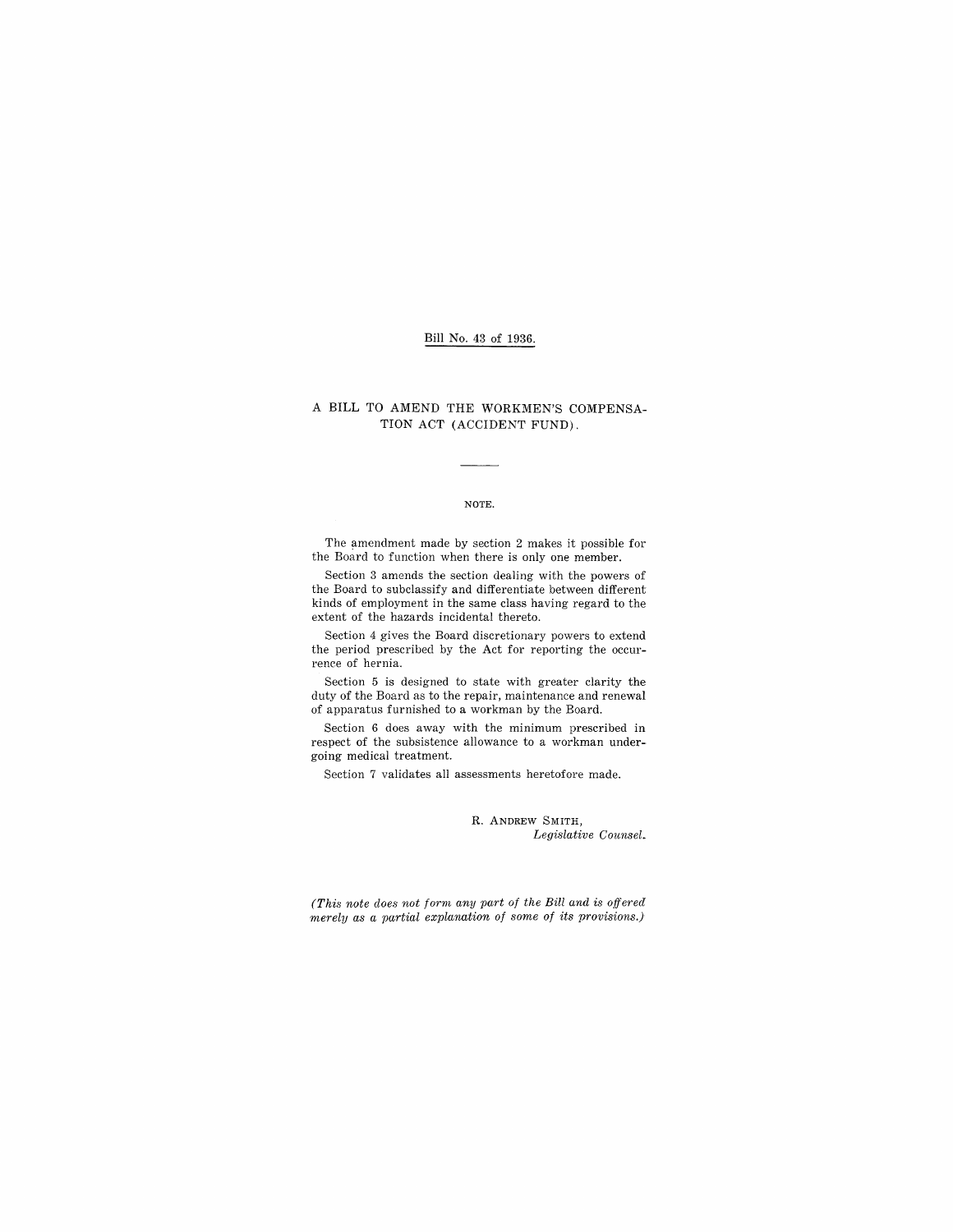### Bill No. 43 of 1936.

## A BILL TO AMEND THE WORKMEN'S COMPENSA-TION ACT (ACCIDENT FUND).

#### NOTE.

The amendment made by section 2 makes it possible for the Board to function when there is only one member.

Section 3 amends the section dealing with the powers of the Board to subclassify and differentiate between different kinds of employment in the same class having regard to the extent of the hazards incidental thereto.

Section 4 gives the Board discretionary powers to extend the period prescribed by the Act for reporting the occurrence of hernia.

Section 5 is designed to state with greater clarity the duty of the Board as to the repair, maintenance and renewal of apparatus furnished to a workman by the Board.

Section 6 does away with the minimum prescribed in respect of the subsistence allowance to a workman undergoing medical treatment.

Section 7 validates all assessments heretofore made.

R. ANDREW SMITH, *Legislative Counsel.* 

*(This note does not form any part of the Bill and* is *offered merely as a partial explanation of some of its provisions.)*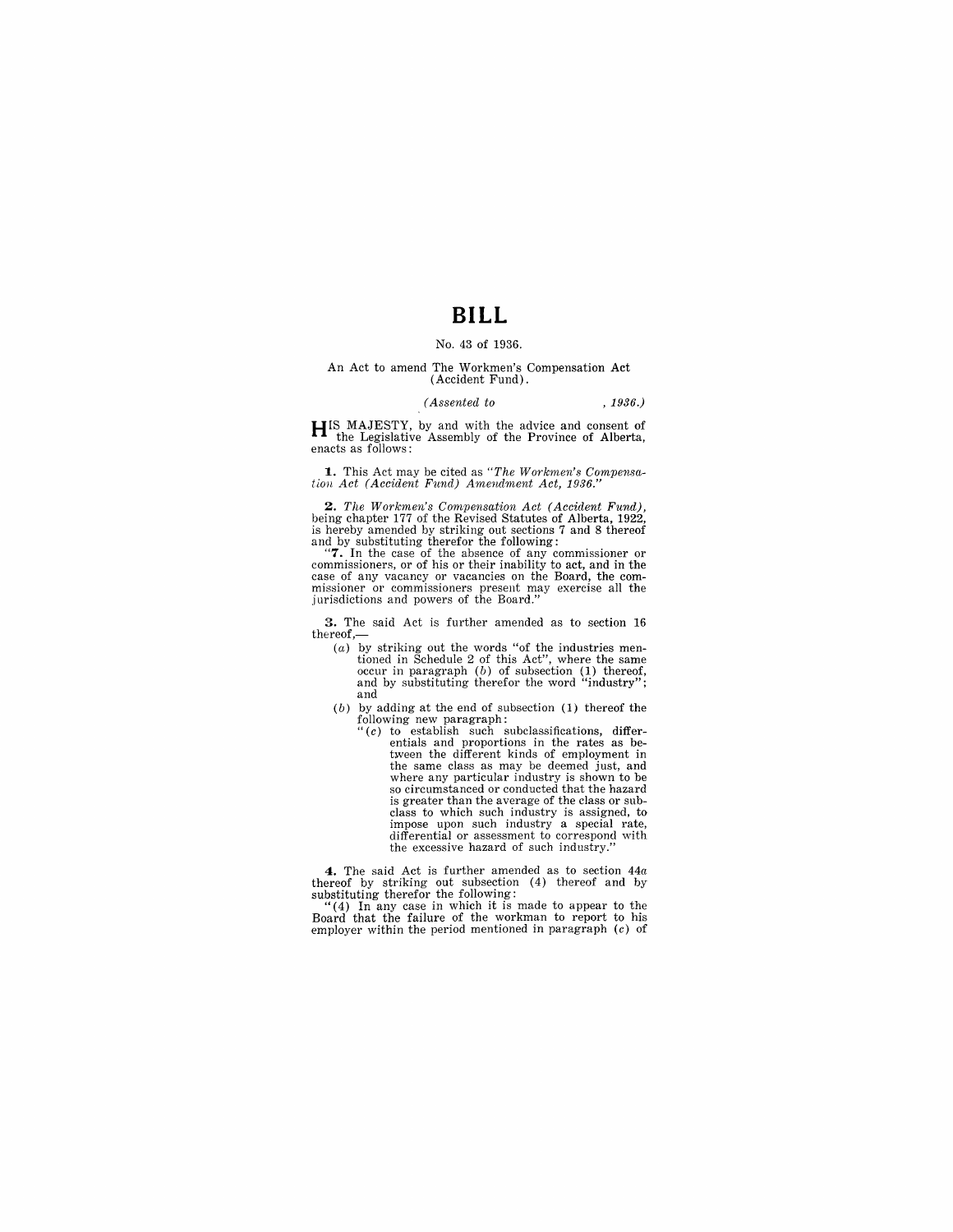# **BILL**

#### No. 43 of 1936.

#### An Act to amend The Workmen's Compensation Act (Accident Fund).

#### *(Assented to* , 1936.)

**H[S** MAJESTY, by and with the advice and consent of **the Legislative Assembly of the Province of Alberta, enacts as follows:** 

1. This Act may be cited as *"The Workmen's Compensation Act (Accident Fund) Amendment Act, 1936."* 

*2. The Workmen's Compensation Act (Accident Fund),*  being chapter 177 of the Revised Statutes of Alberta, 1922,

is hereby amended by striking out sections 7 and 8 thereof<br>and by substituting therefor the following:<br>"7. In the case of the absence of any commissioner or<br>commissioners, or of his or their inability to act, and in the<br>ca exact of any vacancy of the Board."<br>missioner or commissioners present may exercise all the<br>jurisdictions and powers of the Board."

3. The said Act is further amended as to section 16 thereof,-

- (a) by striking out the words "of the industries mentioned in Schedule 2 of this Act", where the same occur in paragraph (b) of subsection (1) thereof, and by substituting therefor the word "industry"; and
- $(b)$  by adding at the end of subsection  $(1)$  thereof the
	- following new paragraph:<br>
	"(c) to establish such subclassifications, differ-<br>
	entials and proportions in the rates as be-<br>
	tween the different kinds of employment in the same class as may be deemed just, and where any particular industry is shown to be so circumstanced or conducted that the hazard is greater than the average of the class or sub-<br>class to which such industry is assigned, to class to which such industry is assigned, to impose upon such industry a special rate, differential or assessment to correspond with the excessive hazard of such industry."

**4.** The said Act is further amended as to section *44a* 

thereof by striking out subsection (4) thereof and by<br>"(4) In any case in which it is made to appear to the<br>"(4) In any case in which it is made to appear to the<br>Board that the failure of the workman to report to his employer within the period mentioned in paragraph  $(c)$  of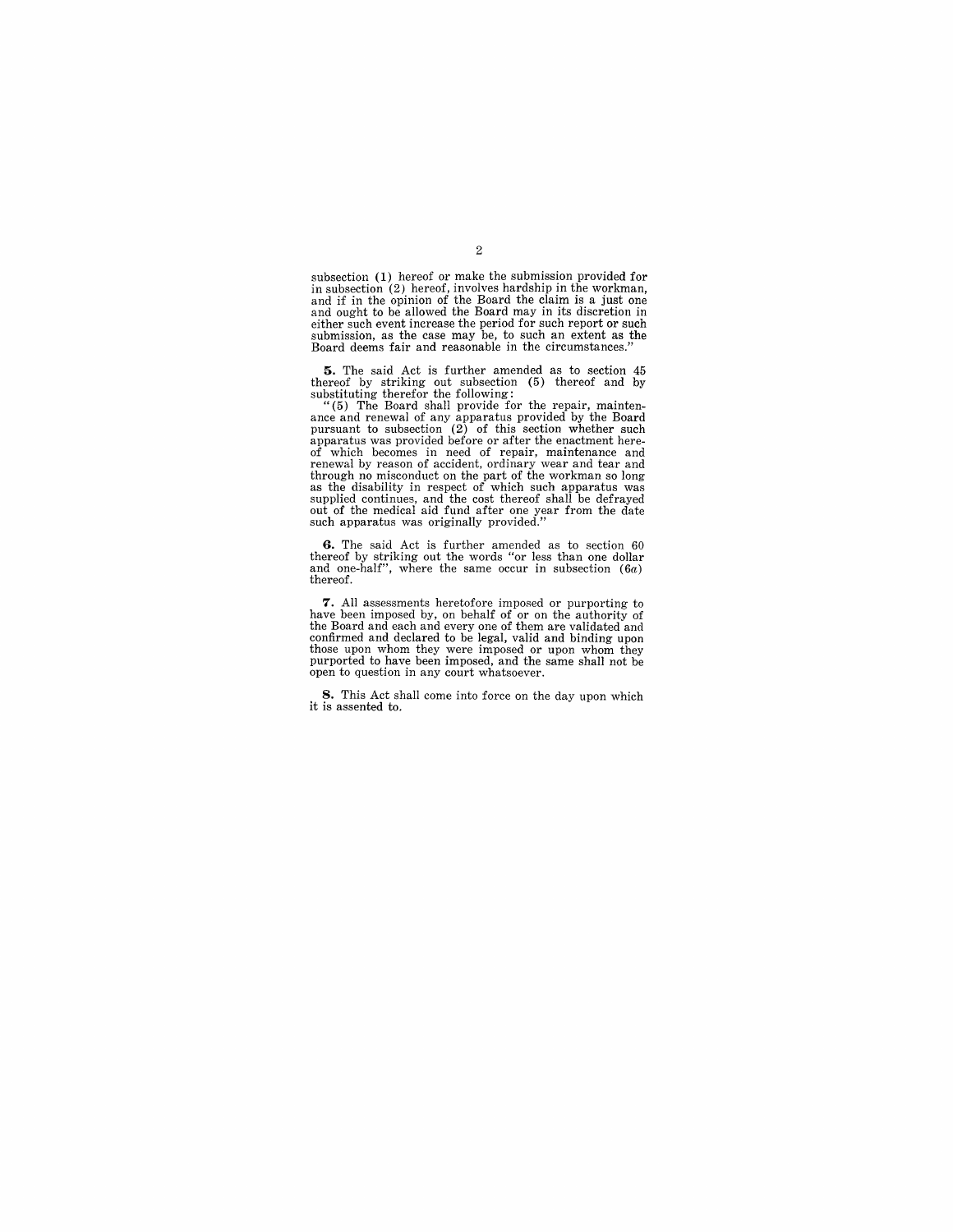subsection (1) hereof or make the submission provided for in subsection (2) hereof, involves hardship in the workman, and if in the opinion of the Board the claim is a just one and ought to be allowed the Board may in its discretion in either such event increase the period for such report or such submission, as the case may be, to such an extent as the Board deems fair and reasonable in the circumstances."

**5.** The said Act is further amended as to section 45

thereof by striking out subsection (5) thereof and by<br>
"(5) The Board shall provide for the repair, mainten-<br>
"(5) The Board shall provide for the repair, mainten-<br>
ance and renewal of any apparatus provided by the Board<br> of which becomes in need of repair, maintenance and renewal by reason of accident, ordinary wear and tear and through no misconduct on the part of the workman so long<br>as the disability in respect of which such apparatus was<br>supplied continues, and the cost thereof shall be defrayed<br>out of the medical aid fund after one year from t

**6.** The said Act is further amended as to section 60 thereof by striking out the words "or less than one dollar and one-half", where the same occur in subsection (6a) thereof.

7. All assessments heretofore imposed or purporting to have been imposed by, on behalf of or on the authority of the Board and each and every one of them are validated and confirmed and declared to be legal, valid and bind those upon whom they were imposed or upon whom they purported to have been imposed, and the same shall not be open to question in any court whatsoever.

**8.** This Act shall come into force on the day upon which it is assented to.

## 2